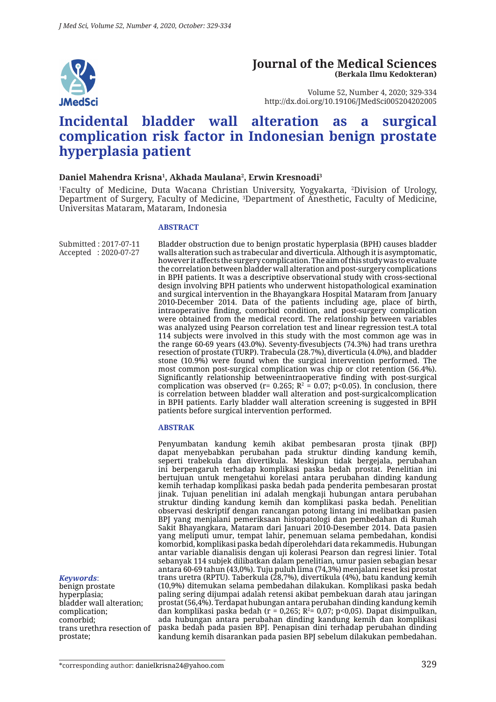

#### **Journal of the Medical Sciences (Berkala Ilmu Kedokteran)**

Volume 52, Number 4, 2020; 329-334 http://dx.doi.org/10.19106/JMedSci005204202005

# **Incidental bladder wall alteration as a surgical complication risk factor in Indonesian benign prostate hyperplasia patient**

#### **Daniel Mahendra Krisna1 , Akhada Maulana2 , Erwin Kresnoadi3**

1 Faculty of Medicine, Duta Wacana Christian University, Yogyakarta, 2 Division of Urology, Department of Surgery, Faculty of Medicine, 3 Department of Anesthetic, Faculty of Medicine, Universitas Mataram, Mataram, Indonesia

#### **ABSTRACT**

Submitted : 2017-07-11 Accepted : 2020-07-27 Bladder obstruction due to benign prostatic hyperplasia (BPH) causes bladder walls alteration such as trabecular and diverticula. Although it is asymptomatic, however it affects the surgery complication. The aim of this study was to evaluate the correlation between bladder wall alteration and post-surgery complications in BPH patients. It was a descriptive observational study with cross-sectional design involving BPH patients who underwent histopathological examination and surgical intervention in the Bhayangkara Hospital Mataram from January 2010-December 2014. Data of the patients including age, place of birth, intraoperative finding, comorbid condition, and post-surgery complication were obtained from the medical record. The relationship between variables was analyzed using Pearson correlation test and linear regression test.A total 114 subjects were involved in this study with the most common age was in the range 60-69 years (43.0%). Seventy-fivesubjects (74.3%) had trans urethra resection of prostate (TURP). Trabecula (28.7%), diverticula (4.0%), and bladder stone (10.9%) were found when the surgical intervention performed. The most common post-surgical complication was chip or clot retention (56.4%). Significantly relationship betweenintraoperative finding with post-surgical complication was observed (r= 0.265;  $R^2 = 0.07$ ; p<0.05). In conclusion, there is correlation between bladder wall alteration and post-surgicalcomplication in BPH patients. Early bladder wall alteration screening is suggested in BPH patients before surgical intervention performed.

#### **ABSTRAK**

Penyumbatan kandung kemih akibat pembesaran prosta tjinak (BPJ) dapat menyebabkan perubahan pada struktur dinding kandung kemih, seperti trabekula dan divertikula. Meskipun tidak bergejala, perubahan ini berpengaruh terhadap komplikasi paska bedah prostat. Penelitian ini bertujuan untuk mengetahui korelasi antara perubahan dinding kandung kemih terhadap komplikasi paska bedah pada penderita pembesaran prostat jinak. Tujuan penelitian ini adalah mengkaji hubungan antara perubahan struktur dinding kandung kemih dan komplikasi paska bedah. Penelitian observasi deskriptif dengan rancangan potong lintang ini melibatkan pasien BPJ yang menjalani pemeriksaan histopatologi dan pembedahan di Rumah Sakit Bhayangkara, Mataram dari Januari 2010-Desember 2014. Data pasien yang meliputi umur, tempat lahir, penemuan selama pembedahan, kondisi komorbid, komplikasi paska bedah diperolehdari data rekammedis. Hubungan antar variable dianalisis dengan uji kolerasi Pearson dan regresi linier. Total sebanyak 114 subjek dilibatkan dalam penelitian, umur pasien sebagian besar antara 60-69 tahun (43,0%). Tuju puluh lima (74,3%) menjalani reset ksi prostat trans uretra (RPTU). Taberkula (28,7%), divertikula (4%), batu kandung kemih (10,9%) ditemukan selama pembedahan dilakukan. Komplikasi paska bedah paling sering dijumpai adalah retensi akibat pembekuan darah atau jaringan prostat (56,4%). Terdapat hubungan antara perubahan dinding kandung kemih dan komplikasi paska bedah (r = 0,265; R²= 0,07; p<0,05). Dapat disimpulkan, ada hubungan antara perubahan dinding kandung kemih dan komplikasi paska bedah pada pasien BPJ. Penapisan dini terhadap perubahan dinding kandung kemih disarankan pada pasien BPJ sebelum dilakukan pembedahan.

benign prostate hyperplasia; bladder wall alteration; complication; comorbid;

*Keywords*:

trans urethra resection of prostate;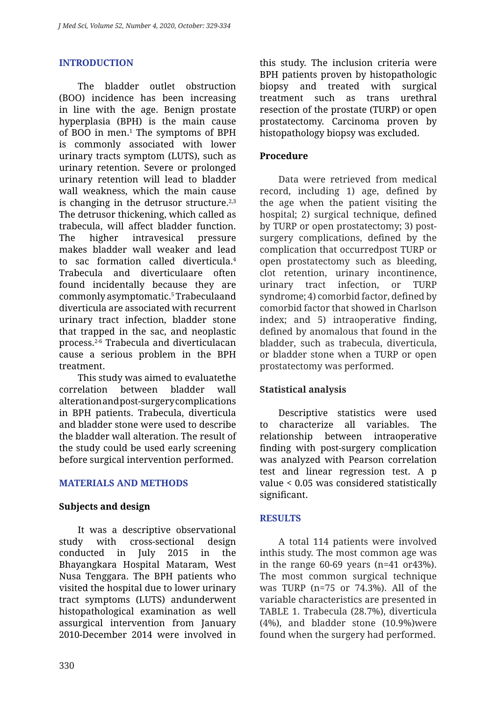# **INTRODUCTION**

The bladder outlet obstruction (BOO) incidence has been increasing in line with the age. Benign prostate hyperplasia (BPH) is the main cause of BOO in men.1 The symptoms of BPH is commonly associated with lower urinary tracts symptom (LUTS), such as urinary retention. Severe or prolonged urinary retention will lead to bladder wall weakness, which the main cause is changing in the detrusor structure. $2,3$ The detrusor thickening, which called as trabecula, will affect bladder function. The higher intravesical pressure makes bladder wall weaker and lead to sac formation called diverticula.4 Trabecula and diverticulaare often found incidentally because they are commonly asymptomatic.5 Trabeculaand diverticula are associated with recurrent urinary tract infection, bladder stone that trapped in the sac, and neoplastic process.2-6 Trabecula and diverticulacan cause a serious problem in the BPH treatment.

This study was aimed to evaluatethe correlation between bladder wall alteration and post-surgery complications in BPH patients. Trabecula, diverticula and bladder stone were used to describe the bladder wall alteration. The result of the study could be used early screening before surgical intervention performed.

# **MATERIALS AND METHODS**

#### **Subjects and design**

It was a descriptive observational study with cross-sectional design conducted in July 2015 in the Bhayangkara Hospital Mataram, West Nusa Tenggara. The BPH patients who visited the hospital due to lower urinary tract symptoms (LUTS) andunderwent histopathological examination as well assurgical intervention from January 2010-December 2014 were involved in this study. The inclusion criteria were BPH patients proven by histopathologic biopsy and treated with surgical treatment such as trans urethral resection of the prostate (TURP) or open prostatectomy. Carcinoma proven by histopathology biopsy was excluded.

#### **Procedure**

Data were retrieved from medical record, including 1) age, defined by the age when the patient visiting the hospital; 2) surgical technique, defined by TURP or open prostatectomy; 3) postsurgery complications, defined by the complication that occurredpost TURP or open prostatectomy such as bleeding, clot retention, urinary incontinence, urinary tract infection, or TURP syndrome; 4) comorbid factor, defined by comorbid factor that showed in Charlson index; and 5) intraoperative finding, defined by anomalous that found in the bladder, such as trabecula, diverticula, or bladder stone when a TURP or open prostatectomy was performed.

# **Statistical analysis**

Descriptive statistics were used to characterize all variables. The relationship between intraoperative finding with post-surgery complication was analyzed with Pearson correlation test and linear regression test. A p value < 0.05 was considered statistically significant.

#### **RESULTS**

A total 114 patients were involved inthis study. The most common age was in the range  $60-69$  years (n=41 or43%). The most common surgical technique was TURP (n=75 or 74.3%). All of the variable characteristics are presented in TABLE 1. Trabecula (28.7%), diverticula (4%), and bladder stone (10.9%)were found when the surgery had performed.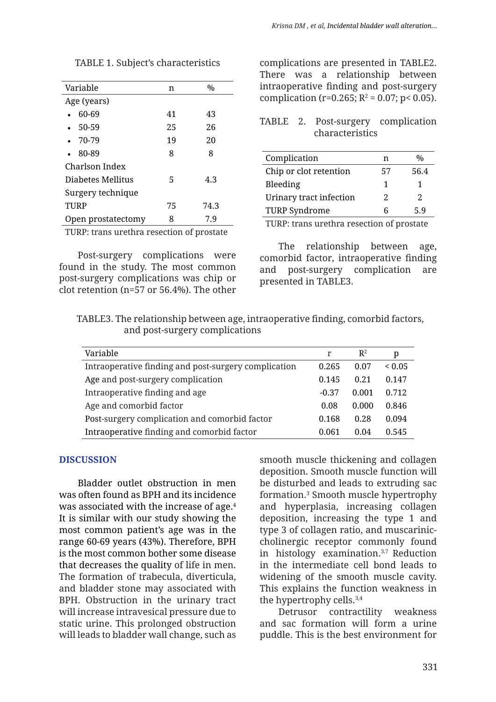| Variable                                  | n  | $\frac{0}{0}$ |
|-------------------------------------------|----|---------------|
| Age (years)                               |    |               |
| 60-69                                     | 41 | 43            |
| 50-59                                     | 25 | 26            |
| $-70-79$                                  | 19 | 20            |
| 80-89                                     | 8  | 8             |
| Charlson Index                            |    |               |
| Diabetes Mellitus                         | 5  | 4.3           |
| Surgery technique                         |    |               |
| TURP                                      | 75 | 74.3          |
| Open prostatectomy                        | 8  | 7.9           |
| TURP: trans urethra resection of prostate |    |               |

TABLE 1. Subject's characteristics

Post-surgery complications were found in the study. The most common post-surgery complications was chip or clot retention (n=57 or 56.4%). The other complications are presented in TABLE2. There was a relationship between intraoperative finding and post-surgery complication (r=0.265;  $R^2$  = 0.07; p< 0.05).

TABLE 2. Post-surgery complication characteristics

| Complication            | n  | $\%$                        |
|-------------------------|----|-----------------------------|
| Chip or clot retention  | 57 | 56.4                        |
| Bleeding                | 1  |                             |
| Urinary tract infection | 2. | $\mathcal{D}_{\mathcal{L}}$ |
| <b>TURP Syndrome</b>    | Б  | 5.9                         |
|                         |    |                             |

TURP: trans urethra resection of prostate

The relationship between age, comorbid factor, intraoperative finding and post-surgery complication are presented in TABLE3.

TABLE3. The relationship between age, intraoperative finding, comorbid factors, and post-surgery complications

| Variable                                             |         | $\mathbb{R}^2$ | p           |
|------------------------------------------------------|---------|----------------|-------------|
| Intraoperative finding and post-surgery complication | 0.265   | 0.07           | ${}_{0.05}$ |
| Age and post-surgery complication                    | 0.145   | 0.21           | 0.147       |
| Intraoperative finding and age                       | $-0.37$ | 0.001          | 0.712       |
| Age and comorbid factor                              | 0.08    | 0.000          | 0.846       |
| Post-surgery complication and comorbid factor        | 0.168   | 0.28           | 0.094       |
| Intraoperative finding and comorbid factor           | 0.061   | 0.04           | 0.545       |

#### **DISCUSSION**

Bladder outlet obstruction in men was often found as BPH and its incidence was associated with the increase of age.4 It is similar with our study showing the most common patient's age was in the range 60-69 years (43%). Therefore, BPH is the most common bother some disease that decreases the quality of life in men. The formation of trabecula, diverticula, and bladder stone may associated with BPH. Obstruction in the urinary tract will increase intravesical pressure due to static urine. This prolonged obstruction will leads to bladder wall change, such as smooth muscle thickening and collagen deposition. Smooth muscle function will be disturbed and leads to extruding sac formation.3 Smooth muscle hypertrophy and hyperplasia, increasing collagen deposition, increasing the type 1 and type 3 of collagen ratio, and muscariniccholinergic receptor commonly found in histology examination.3,7 Reduction in the intermediate cell bond leads to widening of the smooth muscle cavity. This explains the function weakness in the hypertrophy cells.3,4

Detrusor contractility weakness and sac formation will form a urine puddle. This is the best environment for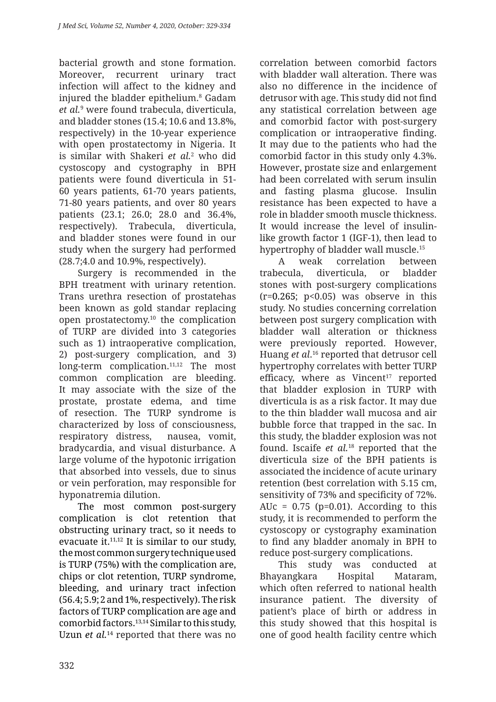bacterial growth and stone formation. Moreover, recurrent urinary tract infection will affect to the kidney and injured the bladder epithelium.<sup>8</sup> Gadam *et al.*<sup>9</sup> were found trabecula, diverticula, and bladder stones (15.4; 10.6 and 13.8%, respectively) in the 10-year experience with open prostatectomy in Nigeria. It is similar with Shakeri *et al.*<sup>2</sup> who did cystoscopy and cystography in BPH patients were found diverticula in 51- 60 years patients, 61-70 years patients, 71-80 years patients, and over 80 years patients (23.1; 26.0; 28.0 and 36.4%, respectively). Trabecula, diverticula, and bladder stones were found in our study when the surgery had performed (28.7;4.0 and 10.9%, respectively).

Surgery is recommended in the BPH treatment with urinary retention. Trans urethra resection of prostatehas been known as gold standar replacing open prostatectomy.10 the complication of TURP are divided into 3 categories such as 1) intraoperative complication, 2) post-surgery complication, and 3) long-term complication.<sup>11,12</sup> The most common complication are bleeding. It may associate with the size of the prostate, prostate edema, and time of resection. The TURP syndrome is characterized by loss of consciousness, respiratory distress, nausea, vomit, bradycardia, and visual disturbance. A large volume of the hypotonic irrigation that absorbed into vessels, due to sinus or vein perforation, may responsible for hyponatremia dilution.

The most common post-surgery complication is clot retention that obstructing urinary tract, so it needs to evacuate it. $11,12$  It is similar to our study, the most common surgery technique used is TURP (75%) with the complication are, chips or clot retention, TURP syndrome, bleeding, and urinary tract infection (56.4; 5.9; 2 and 1%, respectively). The risk factors of TURP complication are age and comorbid factors.13,14 Similar to this study, Uzun *et al.*<sup>14</sup> reported that there was no correlation between comorbid factors with bladder wall alteration. There was also no difference in the incidence of detrusor with age. This study did not find any statistical correlation between age and comorbid factor with post-surgery complication or intraoperative finding. It may due to the patients who had the comorbid factor in this study only 4.3%. However, prostate size and enlargement had been correlated with serum insulin and fasting plasma glucose. Insulin resistance has been expected to have a role in bladder smooth muscle thickness. It would increase the level of insulinlike growth factor 1 (IGF-1), then lead to hypertrophy of bladder wall muscle.15

A weak correlation between trabecula, diverticula, or bladder stones with post-surgery complications  $(r=0.265; p<0.05)$  was observe in this study. No studies concerning correlation between post surgery complication with bladder wall alteration or thickness were previously reported. However, Huang *et al*. 16 reported that detrusor cell hypertrophy correlates with better TURP efficacy, where as  $Vincent^{17}$  reported that bladder explosion in TURP with diverticula is as a risk factor. It may due to the thin bladder wall mucosa and air bubble force that trapped in the sac. In this study, the bladder explosion was not found. Iscaife *et al.*18 reported that the diverticula size of the BPH patients is associated the incidence of acute urinary retention (best correlation with 5.15 cm, sensitivity of 73% and specificity of 72%. AUc =  $0.75$  (p=0.01). According to this study, it is recommended to perform the cystoscopy or cystography examination to find any bladder anomaly in BPH to reduce post-surgery complications.

This study was conducted at Bhayangkara Hospital Mataram, which often referred to national health insurance patient. The diversity of patient's place of birth or address in this study showed that this hospital is one of good health facility centre which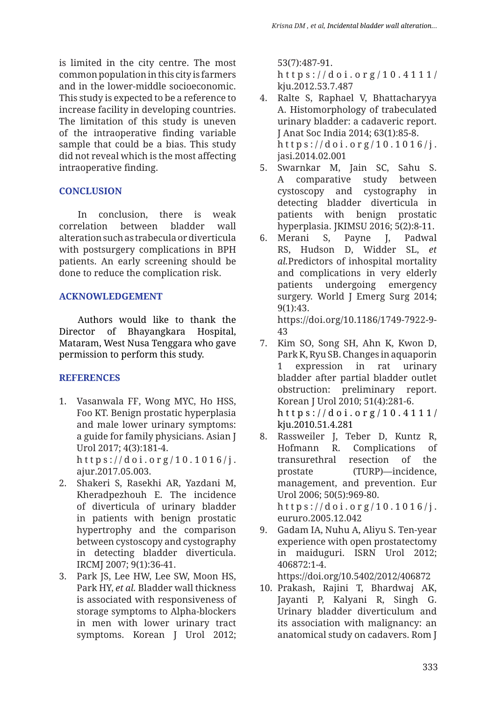is limited in the city centre. The most common population in this city is farmers and in the lower-middle socioeconomic. This study is expected to be a reference to increase facility in developing countries. The limitation of this study is uneven of the intraoperative finding variable sample that could be a bias. This study did not reveal which is the most affecting intraoperative finding.

# **CONCLUSION**

In conclusion, there is weak correlation between bladder wall alteration such as trabecula or diverticula with postsurgery complications in BPH patients. An early screening should be done to reduce the complication risk.

#### **ACKNOWLEDGEMENT**

Authors would like to thank the Director of Bhayangkara Hospital, Mataram, West Nusa Tenggara who gave permission to perform this study.

# **REFERENCES**

- 1. Vasanwala FF, Wong MYC, Ho HSS, Foo KT. Benign prostatic hyperplasia and male lower urinary symptoms: a guide for family physicians. Asian J Urol 2017; 4(3):181-4. https://doi.org/10.1016/j. ajur.2017.05.003.
- 2. Shakeri S, Rasekhi AR, Yazdani M, Kheradpezhouh E. The incidence of diverticula of urinary bladder in patients with benign prostatic hypertrophy and the comparison between cystoscopy and cystography in detecting bladder diverticula. IRCMJ 2007; 9(1):36-41.
- 3. Park JS, Lee HW, Lee SW, Moon HS, Park HY, *et al.* Bladder wall thickness is associated with responsiveness of storage symptoms to Alpha-blockers in men with lower urinary tract symptoms. Korean J Urol 2012;

53(7):487-91.

https://doi.org/10.4111/ kju.2012.53.7.487

- 4. Ralte S, Raphael V, Bhattacharyya A. Histomorphology of trabeculated urinary bladder: a cadaveric report. J Anat Soc India 2014; 63(1):85-8. https://doi.org/10.1016/j. jasi.2014.02.001
- 5. Swarnkar M, Jain SC, Sahu S. A comparative study between cystoscopy and cystography in detecting bladder diverticula in patients with benign prostatic hyperplasia. JKIMSU 2016; 5(2):8-11.
- 6. Merani S, Payne J, Padwal RS, Hudson D, Widder SL, *et al.*Predictors of inhospital mortality and complications in very elderly patients undergoing emergency surgery. World J Emerg Surg 2014; 9(1):43. https://doi.org/10.1186/1749-7922-9-

43

- 7. Kim SO, Song SH, Ahn K, Kwon D, Park K, Ryu SB. Changes in aquaporin 1 expression in rat urinary bladder after partial bladder outlet obstruction: preliminary report. Korean J Urol 2010; 51(4):281-6. https://doi.org/10.4111/ kju.2010.51.4.281
- 8. Rassweiler J, Teber D, Kuntz R, Hofmann R. Complications of transurethral resection of the prostate (TURP)—incidence, management, and prevention. Eur Urol 2006; 50(5):969-80. https://doi.org/10.1016/j. eururo.2005.12.042
- 9. Gadam IA, Nuhu A, Aliyu S. Ten-year experience with open prostatectomy in maiduguri. ISRN Urol 2012; 406872:1-4.

```
https://doi.org/10.5402/2012/406872
```
10. Prakash, Rajini T, Bhardwaj AK, Jayanti P, Kalyani R, Singh G. Urinary bladder diverticulum and its association with malignancy: an anatomical study on cadavers. Rom J